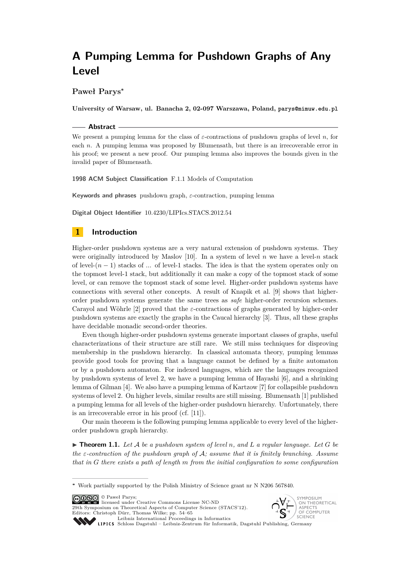# **Paweł Parys<sup>∗</sup>**

**University of Warsaw, ul. Banacha 2, 02-097 Warszawa, Poland, parys@mimuw.edu.pl**

#### **Abstract**

We present a pumping lemma for the class of *ε*-contractions of pushdown graphs of level *n*, for each *n*. A pumping lemma was proposed by Blumensath, but there is an irrecoverable error in his proof; we present a new proof. Our pumping lemma also improves the bounds given in the invalid paper of Blumensath.

**1998 ACM Subject Classification** F.1.1 Models of Computation

**Keywords and phrases** pushdown graph, *ε*-contraction, pumping lemma

**Digital Object Identifier** [10.4230/LIPIcs.STACS.2012.54](http://dx.doi.org/10.4230/LIPIcs.STACS.2012.54)

# **1 Introduction**

Higher-order pushdown systems are a very natural extension of pushdown systems. They were originally introduced by Maslov [\[10\]](#page-11-0). In a system of level  $n$  we have a level- $n$  stack of level- $(n-1)$  stacks of ... of level-1 stacks. The idea is that the system operates only on the topmost level-1 stack, but additionally it can make a copy of the topmost stack of some level, or can remove the topmost stack of some level. Higher-order pushdown systems have connections with several other concepts. A result of Knapik et al. [\[9\]](#page-11-1) shows that higherorder pushdown systems generate the same trees as *safe* higher-order recursion schemes. Carayol and Wöhrle [\[2\]](#page-11-2) proved that the *ε*-contractions of graphs generated by higher-order pushdown systems are exactly the graphs in the Caucal hierarchy [\[3\]](#page-11-3). Thus, all these graphs have decidable monadic second-order theories.

Even though higher-order pushdown systems generate important classes of graphs, useful characterizations of their structure are still rare. We still miss techniques for disproving membership in the pushdown hierarchy. In classical automata theory, pumping lemmas provide good tools for proving that a language cannot be defined by a finite automaton or by a pushdown automaton. For indexed languages, which are the languages recognized by pushdown systems of level 2, we have a pumping lemma of Hayashi [\[6\]](#page-11-4), and a shrinking lemma of Gilman [\[4\]](#page-11-5). We also have a pumping lemma of Kartzow [\[7\]](#page-11-6) for collapsible pushdown systems of level 2. On higher levels, similar results are still missing. Blumensath [\[1\]](#page-11-7) published a pumping lemma for all levels of the higher-order pushdown hierarchy. Unfortunately, there is an irrecoverable error in his proof (cf. [\[11\]](#page-11-8)).

Our main theorem is the following pumping lemma applicable to every level of the higherorder pushdown graph hierarchy.

<span id="page-0-0"></span> $\triangleright$  **Theorem 1.1.** Let A be a pushdown system of level n, and L a regular language. Let G be *the ε-contraction of the pushdown graph of* A*; assume that it is finitely branching. Assume that in G there exists a path of length m from the initial configuration to some configuration*

© Paweł Parys; licensed under Creative Commons License NC-ND

29th Symposium on Theoretical Aspects of Computer Science (STACS'12). Editors: Christoph Dürr, Thomas Wilke; pp. 54[–65](#page-11-9) [Leibniz International Proceedings in Informatics](http://www.dagstuhl.de/lipics/)



[Schloss Dagstuhl – Leibniz-Zentrum für Informatik, Dagstuhl Publishing, Germany](http://www.dagstuhl.de)

**<sup>∗</sup>** Work partially supported by the Polish Ministry of Science grant nr N N206 567840.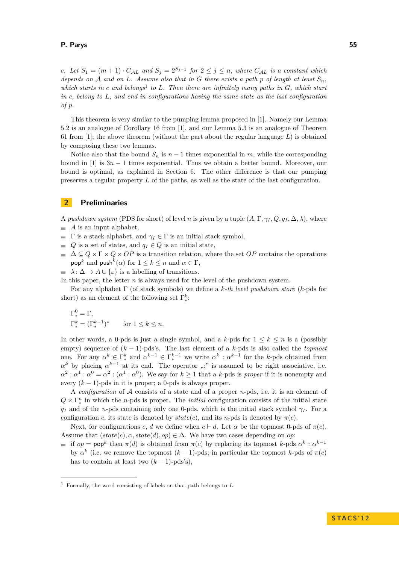*c.* Let  $S_1 = (m+1) \cdot C_{\mathcal{A}L}$  and  $S_j = 2^{S_{j-1}}$  for  $2 \leq j \leq n$ , where  $C_{\mathcal{A}L}$  is a constant which *depends on A and on L.* Assume also that in *G* there exists a path *p of length at least*  $S_n$ *,* which starts in *c* and belongs<sup>1</sup> to L. Then there are infinitely many paths in *G*, which start *in c, belong to L, and end in configurations having the same state as the last configuration of p.*

This theorem is very similar to the pumping lemma proposed in [\[1\]](#page-11-7). Namely our Lemma [5.2](#page-7-0) is an analogue of Corollary 16 from [\[1\]](#page-11-7), and our Lemma [5.3](#page-9-0) is an analogue of Theorem 61 from [\[1\]](#page-11-7); the above theorem (without the part about the regular language  $L$ ) is obtained by composing these two lemmas.

Notice also that the bound  $S_n$  is  $n-1$  times exponential in  $m$ , while the corresponding bound in [\[1\]](#page-11-7) is 3*n* − 1 times exponential. Thus we obtain a better bound. Moreover, our bound is optimal, as explained in Section [6.](#page-10-0) The other difference is that our pumping preserves a regular property *L* of the paths, as well as the state of the last configuration.

# **2 Preliminaries**

A *pushdown system* (PDS for short) of level *n* is given by a tuple  $(A, \Gamma, \gamma_I, Q, q_I, \Delta, \lambda)$ , where

- $\blacksquare$  *A* is an input alphabet,
- $\blacksquare$  Γ is a stack alphabet, and  $γ$ <sub>*I*</sub> ∈ Γ is an initial stack symbol,
- *Q* is a set of states, and  $q_I \in Q$  is an initial state,
- $\Delta \subseteq Q \times \Gamma \times Q \times OP$  is a transition relation, where the set *OP* contains the operations  $\mathsf{pop}^k$  and  $\mathsf{push}^k(\alpha)$  for  $1 \leq k \leq n$  and  $\alpha \in \Gamma$ ,
- $\therefore$   $\lambda$ :  $\Delta \rightarrow A \cup \{\varepsilon\}$  is a labelling of transitions.
- In this paper, the letter *n* is always used for the level of the pushdown system.

For any alphabet Γ (of stack symbols) we define a *k-th level pushdown store* (*k*-pds for short) as an element of the following set  $\Gamma_*^k$ :

$$
\begin{aligned} \Gamma^0_* &= \Gamma, \\ \Gamma^k_* &= (\Gamma^{k-1}_*)^* \qquad \text{for } 1 \leq k \leq n. \end{aligned}
$$

In other words, a 0-pds is just a single symbol, and a *k*-pds for  $1 \leq k \leq n$  is a (possibly empty) sequence of (*k* − 1)-pds's. The last element of a *k*-pds is also called the *topmost* one. For any  $\alpha^k \in \Gamma_*^k$  and  $\alpha^{k-1} \in \Gamma_*^{k-1}$  we write  $\alpha^k : \alpha^{k-1}$  for the *k*-pds obtained from  $\alpha^k$  by placing  $\alpha^{k-1}$  at its end. The operator ":" is assumed to be right associative, i.e.  $\alpha^2 : \alpha^1 : \alpha^0 = \alpha^2 : (\alpha^1 : \alpha^0)$ . We say for  $k \ge 1$  that a *k*-pds is *proper* if it is nonempty and every  $(k-1)$ -pds in it is proper; a 0-pds is always proper.

A *configuration* of A consists of a state and of a proper *n*-pds, i.e. it is an element of  $Q \times \Gamma_*^n$  in which the *n*-pds is proper. The *initial* configuration consists of the initial state *q<sub>I</sub>* and of the *n*-pds containing only one 0-pds, which is the initial stack symbol  $\gamma$ *I*. For a configuration *c*, its state is denoted by  $state(c)$ , and its *n*-pds is denoted by  $\pi(c)$ .

Next, for configurations *c*, *d* we define when  $c \vdash d$ . Let  $\alpha$  be the topmost 0-pds of  $\pi(c)$ . Assume that  $(state(c), \alpha, state(d), op) \in \Delta$ . We have two cases depending on *op*:

if  $op = pop^k$  then  $\pi(d)$  is obtained from  $\pi(c)$  by replacing its topmost *k*-pds  $\alpha^k : \alpha^{k-1}$ by  $\alpha^k$  (i.e. we remove the topmost  $(k-1)$ -pds; in particular the topmost *k*-pds of  $\pi(c)$ has to contain at least two  $(k-1)$ -pds's),

<sup>1</sup> Formally, the word consisting of labels on that path belongs to *L*.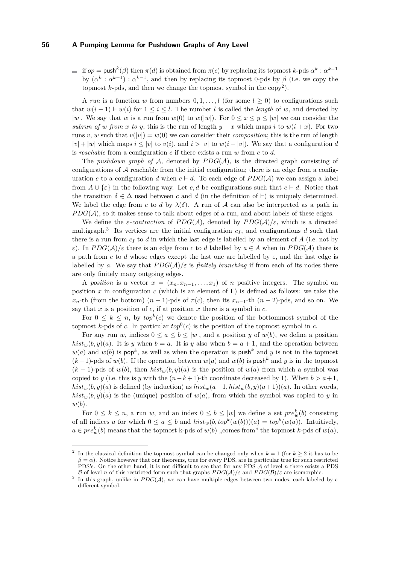if  $op = \text{push}^k(\beta)$  then  $\pi(d)$  is obtained from  $\pi(c)$  by replacing its topmost  $k$ -pds  $\alpha^k : \alpha^{k-1}$ by  $(\alpha^k : \alpha^{k-1}) : \alpha^{k-1}$ , and then by replacing its topmost 0-pds by  $\beta$  (i.e. we copy the topmost  $k$ -pds, and then we change the topmost symbol in the copy<sup>2</sup>).

A *run* is a function *w* from numbers  $0, 1, \ldots, l$  (for some  $l \geq 0$ ) to configurations such that  $w(i-1) \vdash w(i)$  for  $1 \leq i \leq l$ . The number *l* is called the *length* of *w*, and denoted by |*w*|. We say that *w* is a run from  $w(0)$  to  $w(|w|)$ . For  $0 \le x \le y \le |w|$  we can consider the *subrun of w from x to y*; this is the run of length  $y - x$  which maps *i* to  $w(i + x)$ . For two runs *v*, *w* such that  $v(|v|) = w(0)$  we can consider their *composition*; this is the run of length |*v*| + |*w*| which maps *i* ≤ |*v*| to *v*(*i*), and *i >* |*v*| to *w*(*i* − |*v*|). We say that a configuration *d* is *reachable* from a configuration *c* if there exists a run *w* from *c* to *d*.

The *pushdown graph of*  $A$ , denoted by  $PDG(A)$ , is the directed graph consisting of configurations of  $A$  reachable from the initial configuration; there is an edge from a configuration *c* to a configuration *d* when  $c \vdash d$ . To each edge of  $PDG(\mathcal{A})$  we can assign a label from  $A \cup \{\varepsilon\}$  in the following way. Let *c, d* be configurations such that  $c \vdash d$ . Notice that the transition  $\delta \in \Delta$  used between c and d (in the definition of  $\vdash$ ) is uniquely determined. We label the edge from *c* to *d* by  $\lambda(\delta)$ . A run of A can also be interpreted as a path in  $PDG(\mathcal{A})$ , so it makes sense to talk about edges of a run, and about labels of these edges.

We define the *ε*-contraction of  $PDG(\mathcal{A})$ , denoted by  $PDG(\mathcal{A})/\varepsilon$ , which is a directed multigraph.<sup>3</sup> Its vertices are the initial configuration  $c_I$ , and configurations  $d$  such that there is a run from  $c_I$  to  $d$  in which the last edge is labelled by an element of  $A$  (i.e. not by *ε*). In  $PDG(\mathcal{A})/ \varepsilon$  there is an edge from *c* to *d* labelled by  $a \in \mathcal{A}$  when in  $PDG(\mathcal{A})$  there is a path from *c* to *d* whose edges except the last one are labelled by *ε*, and the last edge is labelled by *a*. We say that  $PDG(\mathcal{A})/\varepsilon$  is *finitely branching* if from each of its nodes there are only finitely many outgoing edges.

A *position* is a vector  $x = (x_n, x_{n-1}, \ldots, x_1)$  of *n* positive integers. The symbol on position *x* in configuration *c* (which is an element of Γ) is defined as follows: we take the  $x_n$ <sup>-th</sup> (from the bottom)  $(n-1)$ -pds of  $\pi(c)$ , then its  $x_{n-1}$ -th  $(n-2)$ -pds, and so on. We say that *x* is a position of *c*, if at position *x* there is a symbol in *c*.

For  $0 \leq k \leq n$ , by  $top^k(c)$  we denote the position of the bottommost symbol of the topmost *k*-pds of *c*. In particular  $top^0(c)$  is the position of the topmost symbol in *c*.

For any run *w*, indices  $0 \le a \le b \le |w|$ , and a position *y* of *w*(*b*), we define a position  $hist_w(b, y)(a)$ . It is *y* when  $b = a$ . It is *y* also when  $b = a + 1$ , and the operation between  $w(a)$  and  $w(b)$  is pop<sup>k</sup>, as well as when the operation is push<sup>k</sup> and *y* is not in the topmost  $(k-1)$ -pds of  $w(b)$ . If the operation between  $w(a)$  and  $w(b)$  is push<sup>k</sup> and y is in the topmost  $(k-1)$ -pds of  $w(b)$ , then  $hist_w(b, y)(a)$  is the position of  $w(a)$  from which a symbol was copied to *y* (i.e. this is *y* with the  $(n-k+1)$ -th coordinate decreased by 1). When  $b > a+1$ ,  $hist_w(b, y)(a)$  is defined (by induction) as  $hist_w(a+1, hist_w(b, y)(a+1))(a)$ . In other words,  $hist_w(b, y)(a)$  is the (unique) position of  $w(a)$ , from which the symbol was copied to *y* in *w*(*b*).

For  $0 \leq k \leq n$ , a run *w*, and an index  $0 \leq b \leq |w|$  we define a set  $pre_w^k(b)$  consisting of all indices *a* for which  $0 \le a \le b$  and  $hist_w(b, top^k(w(b)))(a) = top^k(w(a))$ . Intuitively,  $a \in pre_w^k(b)$  means that the topmost k-pds of  $w(b)$  "comes from" the topmost *k*-pds of  $w(a)$ ,

<sup>&</sup>lt;sup>2</sup> In the classical definition the topmost symbol can be changed only when  $k = 1$  (for  $k \geq 2$  it has to be  $\beta = \alpha$ ). Notice however that our theorems, true for every PDS, are in particular true for such restricted PDS's. On the other hand, it is not difficult to see that for any PDS A of level *n* there exists a PDS B of level *n* of this restricted form such that graphs  $PDG(\mathcal{A})/\varepsilon$  and  $PDG(\mathcal{B})/\varepsilon$  are isomorphic.

<sup>&</sup>lt;sup>3</sup> In this graph, unlike in  $PDG(\mathcal{A})$ , we can have multiple edges between two nodes, each labeled by a different symbol.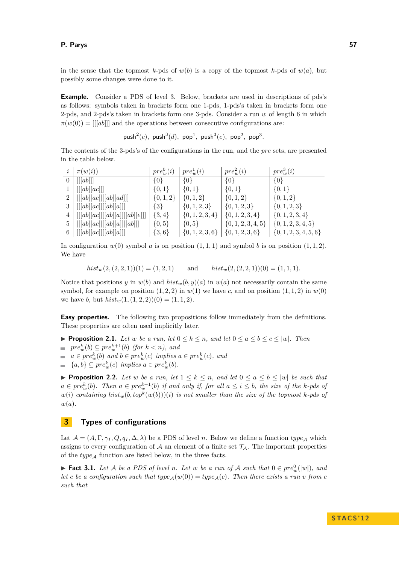in the sense that the topmost  $k$ -pds of  $w(b)$  is a copy of the topmost  $k$ -pds of  $w(a)$ , but possibly some changes were done to it.

**Example.** Consider a PDS of level 3. Below, brackets are used in descriptions of pds's as follows: symbols taken in brackets form one 1-pds, 1-pds's taken in brackets form one 2-pds, and 2-pds's taken in brackets form one 3-pds. Consider a run *w* of length 6 in which  $\pi(w(0)) = ||[ab]||$  and the operations between consecutive configurations are:

 ${\sf push}^2(c)$ ,  ${\sf push}^3(d)$ ,  ${\sf pop}^1$ ,  ${\sf push}^3(e)$ ,  ${\sf pop}^2$ ,  ${\sf pop}^3$ .

The contents of the 3-pds's of the configurations in the run, and the *pre* sets, are presented in the table below.

| $\pi(w(i))$                                                         | $pre_w^0(i)$ | $pre_w^1(i)$                            | $pre_w^2(i)$           | $pre_w^3(i)$              |
|---------------------------------------------------------------------|--------------|-----------------------------------------|------------------------|---------------------------|
| $0$   [[[ab]]]                                                      | $\{0\}$      | $\{0\}$                                 | $\{0\}$                | $\{0\}$                   |
| [[[ab][ac]]]                                                        | $\{0,1\}$    | $\{0,1\}$                               | $\{0,1\}$              | $\{0,1\}$                 |
| 2   $[[[ab][ac]][[ab][ad]]]$                                        | $\{0,1,2\}$  | $\{0, 1, 2\}$                           | $\{0,1,2\}$            | $\{0, 1, 2\}$             |
| $3 \mid [[[ab][ac]][[ab][a]]]$                                      | $\{3\}$      | $\{0, 1, 2, 3\}$                        | $\{0,1,2,3\}$          | $\{0,1,2,3\}$             |
| $\vert \ [[[ab][ac]][[ab][a]][[ab][e]]] \vert$                      | $\{3,4\}$    | $\{0, 1, 2, 3, 4\}$                     | $\{0, 1, 2, 3, 4\}$    | $\{0, 1, 2, 3, 4\}$       |
| $5 \mid [[[ab][ac]][[ab][a]][[ab]]]$                                | $\{0, 5\}$   | $\{0, 5\}$                              | $\{0, 1, 2, 3, 4, 5\}$ | $\{0, 1, 2, 3, 4, 5\}$    |
| 6 $\left[ \begin{bmatrix} [ab][ac] \end{bmatrix} [[ab][a]] \right]$ | $\{3,6\}$    | $\{0, 1, 2, 3, 6\}$ $\{0, 1, 2, 3, 6\}$ |                        | $\{0, 1, 2, 3, 4, 5, 6\}$ |

In configuration  $w(0)$  symbol *a* is on position  $(1,1,1)$  and symbol *b* is on position  $(1,1,2)$ . We have

$$
hist_w(2, (2, 2, 1))(1) = (1, 2, 1) \qquad \text{and} \qquad hist_w(2, (2, 2, 1))(0) = (1, 1, 1).
$$

Notice that positions *y* in  $w(b)$  and  $hist_w(b, y)(a)$  in  $w(a)$  not necessarily contain the same symbol, for example on position  $(1, 2, 2)$  in  $w(1)$  we have *c*, and on position  $(1, 1, 2)$  in  $w(0)$ we have *b*, but  $hist_w(1, (1, 2, 2))(0) = (1, 1, 2).$ 

**Easy properties.** The following two propositions follow immediately from the definitions. These properties are often used implicitly later.

- ▶ **Proposition 2.1.** *Let w be a run, let*  $0 \le k \le n$ *, and let*  $0 \le a \le b \le c \le |w|$ *. Then*
- $pre_w^k(b) \subseteq pre_w^{k+1}(b)$  *(for*  $k < n$ *), and*
- $a \in pre_w^k(b)$  and  $b \in pre_w^k(c)$  implies  $a \in pre_w^k(c)$ , and
- ${a,b} \subseteq pre_w^k(c)$  *implies*  $a \in pre_w^k(b)$ .

<span id="page-3-1"></span>**Proposition 2.2.** Let w be a run, let  $1 \leq k \leq n$ , and let  $0 \leq a \leq b \leq |w|$  be such that  $a \in pre_w^k(b)$ . Then  $a \in pre_w^{k-1}(b)$  if and only if, for all  $a \leq i \leq b$ , the size of the *k*-pds of  $w(i)$  *containing*  $hist_w(b, top^k(w(b)))(i)$  *is not smaller than the size of the topmost k*-pds of *w*(*a*)*.*

# **3 Types of configurations**

Let  $\mathcal{A} = (A, \Gamma, \gamma_I, Q, q_I, \Delta, \lambda)$  be a PDS of level *n*. Below we define a function  $type_A$  which assigns to every configuration of  $A$  an element of a finite set  $\mathcal{T}_A$ . The important properties of the  $type_{\mathcal{A}}$  function are listed below, in the three facts.

<span id="page-3-0"></span>► **Fact 3.1.** Let A be a PDS of level *n*. Let w be a run of A such that  $0 \in pre_w^0(|w|)$ , and *let c be a configuration such that*  $type_A(w(0)) = type_A(c)$ *. Then there exists a run v from c such that*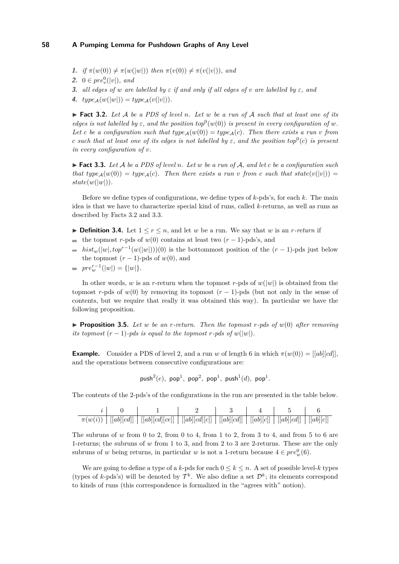- **1.** *if*  $\pi(w(0)) \neq \pi(w(|w|))$  *then*  $\pi(v(0)) \neq \pi(v(|v|))$ *, and*
- **2.**  $0 \in pre_v^0(|v|)$ , and
- **3.** *all edges of w are labelled by*  $\varepsilon$  *if and only if all edges of v are labelled by*  $\varepsilon$ *, and*
- 4.  $type_A(w(|w|)) = type_A(v(|v|)).$

<span id="page-4-0"></span> $\blacktriangleright$  **Fact 3.2.** Let A be a PDS of level *n*. Let w be a run of A such that at least one of its *edges is not labelled by*  $\varepsilon$ *, and the position top*<sup>0</sup> $(w(0))$  *is present in every configuration of w*. Let *c* be a configuration such that  $type_A(w(0)) = type_A(c)$ . Then there exists a run *v* from *c* such that at least one of its edges is not labelled by  $\varepsilon$ , and the position  $top^0(c)$  is present *in every configuration of v.*

<span id="page-4-1"></span>I **Fact 3.3.** *Let* A *be a PDS of level n. Let w be a run of* A*, and let c be a configuration such that*  $type_A(w(0)) = type_A(c)$ . Then there exists a run *v* from *c* such that  $state(v(|v|)) =$  $state(w(|w|)).$ 

Before we define types of configurations, we define types of *k*-pds's, for each *k*. The main idea is that we have to characterize special kind of runs, called *k*-returns, as well as runs as described by Facts [3.2](#page-4-0) and [3.3.](#page-4-1)

- ▶ **Definition 3.4.** Let  $1 \le r \le n$ , and let *w* be a run. We say that *w* is an *r*-return if
- the topmost *r*-pds of  $w(0)$  contains at least two  $(r-1)$ -pds's, and  $\blacksquare$
- $hist_w(|w|, top^{r-1}(w(|w|)))(0)$  is the bottommost position of the  $(r-1)$ -pds just below the topmost  $(r-1)$ -pds of  $w(0)$ , and
- $pre_w^{r-1}(|w|) = \{|w|\}.$

In other words, *w* is an *r*-return when the topmost *r*-pds of  $w(|w|)$  is obtained from the topmost *r*-pds of  $w(0)$  by removing its topmost  $(r-1)$ -pds (but not only in the sense of contents, but we require that really it was obtained this way). In particular we have the following proposition.

**• Proposition 3.5.** Let w be an *r*-return. Then the topmost *r*-pds of  $w(0)$  after removing *its topmost*  $(r - 1)$ *-pds is equal to the topmost*  $r$ *-pds of*  $w(|w|)$ *.* 

**Example.** Consider a PDS of level 2, and a run *w* of length 6 in which  $\pi(w(0)) = |[ab][cd]|$ , and the operations between consecutive configurations are:

 ${\sf push}^2(e)$ ,  ${\sf pop}^1$ ,  ${\sf pop}^2$ ,  ${\sf pop}^1$ ,  ${\sf push}^1(d)$ ,  ${\sf pop}^1$ .

The contents of the 2-pds's of the configurations in the run are presented in the table below.

| $\pi(w(i$ | ab <br> cd | $\left  \lceil ab \rceil \right  cd \left  \left  ce \right  \right $ | [[ab][cd][c]] | [[ab][cd]] | ab  c | ab  cd | ab <br> c |
|-----------|------------|-----------------------------------------------------------------------|---------------|------------|-------|--------|-----------|

The subruns of  $w$  from 0 to 2, from 0 to 4, from 1 to 2, from 3 to 4, and from 5 to 6 are 1-returns; the subruns of *w* from 1 to 3, and from 2 to 3 are 2-returns. These are the only subruns of *w* being returns, in particular *w* is not a 1-return because  $4 \in pre_w^0(6)$ .

We are going to define a type of a *k*-pds for each  $0 \leq k \leq n$ . A set of possible level-*k* types (types of k-pds's) will be denoted by  $\mathcal{T}^k$ . We also define a set  $\mathcal{D}^k$ ; its elements correspond to kinds of runs (this correspondence is formalized in the "agrees with" notion).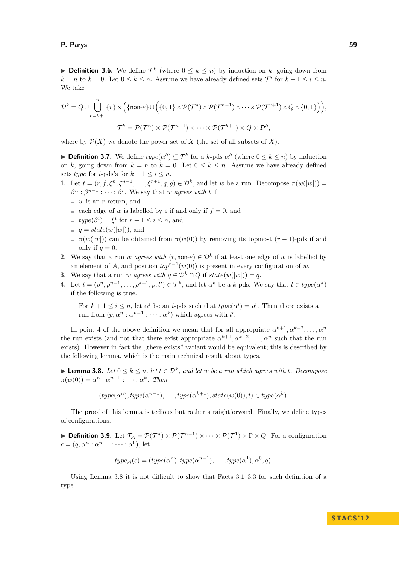**► Definition 3.6.** We define  $\mathcal{T}^k$  (where  $0 \leq k \leq n$ ) by induction on *k*, going down from  $k = n$  to  $k = 0$ . Let  $0 \le k \le n$ . Assume we have already defined sets  $\mathcal{T}^i$  for  $k + 1 \le i \le n$ . We take

$$
\mathcal{D}^k = Q \cup \bigcup_{r=k+1}^n \{r\} \times \Big( \{\text{non-} \varepsilon\} \cup \Big( \{0,1\} \times \mathcal{P}(\mathcal{T}^n) \times \mathcal{P}(\mathcal{T}^{n-1}) \times \cdots \times \mathcal{P}(\mathcal{T}^{r+1}) \times Q \times \{0,1\} \Big) \Big),
$$
  

$$
\mathcal{T}^k = \mathcal{P}(\mathcal{T}^n) \times \mathcal{P}(\mathcal{T}^{n-1}) \times \cdots \times \mathcal{P}(\mathcal{T}^{k+1}) \times Q \times \mathcal{D}^k,
$$

where by  $\mathcal{P}(X)$  we denote the power set of *X* (the set of all subsets of *X*).

**► Definition 3.7.** We define  $type(\alpha^k) \subseteq \mathcal{T}^k$  for a *k*-pds  $\alpha^k$  (where  $0 \leq k \leq n$ ) by induction on *k*, going down from  $k = n$  to  $k = 0$ . Let  $0 \le k \le n$ . Assume we have already defined sets *type* for *i*-pds's for  $k + 1 \leq i \leq n$ .

**1.** Let  $t = (r, f, \xi^n, \xi^{n-1}, \dots, \xi^{r+1}, q, g) \in \mathcal{D}^k$ , and let *w* be a run. Decompose  $\pi(w(|w|))$  $\beta^n : \beta^{n-1} : \cdots : \beta^r$ . We say that *w agrees with t* if

- *is an <i>r*-return, and
- each edge of *w* is labelled by  $\varepsilon$  if and only if  $f = 0$ , and
- $type(\beta^i) = \xi^i$  for  $r + 1 \leq i \leq n$ , and
- $q = state(w(|w|))$ , and
- $= \pi(w(|w|))$  can be obtained from  $\pi(w(0))$  by removing its topmost  $(r-1)$ -pds if and only if  $q=0$ .
- **2.** We say that a run *w agrees with*  $(r, \text{non-} \varepsilon) \in \mathcal{D}^k$  if at least one edge of *w* is labelled by an element of *A*, and position  $top^{r-1}(w(0))$  is present in every configuration of *w*.
- **3.** We say that a run *w agrees with*  $q \in \mathcal{D}^k \cap Q$  if  $state(w(|w|)) = q$ .
- **4.** Let  $t = (\rho^n, \rho^{n-1}, \dots, \rho^{k+1}, p, t') \in \mathcal{T}^k$ , and let  $\alpha^k$  be a *k*-pds. We say that  $t \in type(\alpha^k)$ if the following is true.

For  $k + 1 \leq i \leq n$ , let  $\alpha^i$  be an *i*-pds such that  $type(\alpha^i) = \rho^i$ . Then there exists a run from  $(p, \alpha^n : \alpha^{n-1} : \cdots : \alpha^k)$  which agrees with  $t'$ .

In point 4 of the above definition we mean that for all appropriate  $\alpha^{k+1}, \alpha^{k+2}, \ldots, \alpha^n$ the run exists (and not that there exist appropriate  $\alpha^{k+1}, \alpha^{k+2}, \ldots, \alpha^n$  such that the run exists). However in fact the "there exists" variant would be equivalent; this is described by the following lemma, which is the main technical result about types.

<span id="page-5-0"></span>▶ **Lemma 3.8.** *Let*  $0 \le k \le n$ , *let*  $t \in \mathcal{D}^k$ , *and let w be a run which agrees with t. Decompose*  $\pi(w(0)) = \alpha^n : \alpha^{n-1} : \cdots : \alpha^k$ . Then

$$
(type(\alpha^n), type(\alpha^{n-1}), \ldots, type(\alpha^{k+1}), state(w(0)), t) \in type(\alpha^k).
$$

The proof of this lemma is tedious but rather straightforward. Finally, we define types of configurations.

**Definition 3.9.** Let  $\mathcal{T}_\mathcal{A} = \mathcal{P}(\mathcal{T}^n) \times \mathcal{P}(\mathcal{T}^{n-1}) \times \cdots \times \mathcal{P}(\mathcal{T}^1) \times \Gamma \times Q$ . For a configuration  $c = (q, \alpha^n : \alpha^{n-1} : \cdots : \alpha^0)$ , let

$$
type_{\mathcal{A}}(c) = (type(\alpha^n), type(\alpha^{n-1}), \dots, type(\alpha^1), \alpha^0, q).
$$

Using Lemma [3.8](#page-5-0) it is not difficult to show that Facts [3.1–](#page-3-0)[3.3](#page-4-1) for such definition of a type.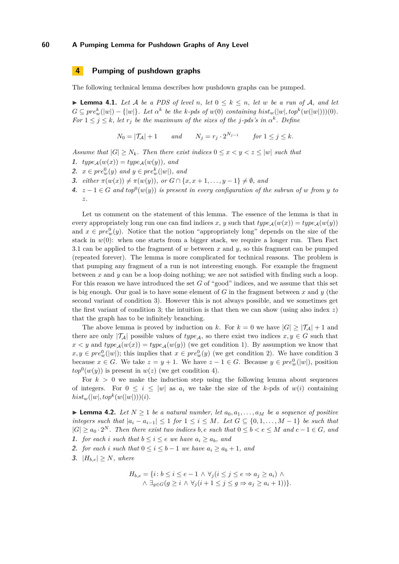# **4 Pumping of pushdown graphs**

The following technical lemma describes how pushdown graphs can be pumped.

<span id="page-6-0"></span>▶ **Lemma 4.1.** *Let A be a PDS of level n, let*  $0 \le k \le n$ *, let w be a run of A, and let*  $G \subseteq pre_w^k(|w|) - \{|w|\}$ . Let  $\alpha^k$  be the k-pds of  $w(0)$  containing  $hist_w(|w|, top^k(w(|w|)))(0)$ . *For*  $1 \leq j \leq k$ *, let*  $r_j$  *be the maximum of the sizes of the j-pds's in*  $\alpha^k$ *. Define* 

$$
N_0 = |\mathcal{T}_\mathcal{A}| + 1 \qquad and \qquad N_j = r_j \cdot 2^{N_{j-1}} \qquad for \ 1 \le j \le k.
$$

*Assume that*  $|G| \geq N_k$ *. Then there exist indices*  $0 \leq x < y < z \leq |w|$  such that

- **1.**  $type_{\mathcal{A}}(w(x)) = type_{\mathcal{A}}(w(y))$ , and
- **2.** *x* ∈  $pre_w^0(y)$  *and*  $y \in pre_w^k(|w|)$ *, and*
- **3.** *either*  $\pi(w(x)) \neq \pi(w(y))$ *, or*  $G \cap \{x, x + 1, ..., y 1\} \neq \emptyset$ *, and*
- **4.**  $z 1 \in G$  and  $top^0(w(y))$  is present in every configuration of the subrun of w from y to *z.*

Let us comment on the statement of this lemma. The essence of the lemma is that in every appropriately long run one can find indices *x*, *y* such that  $type_A(w(x)) = type_A(w(y))$ and  $x \in pre_w^0(y)$ . Notice that the notion "appropriately long" depends on the size of the stack in  $w(0)$ : when one starts from a bigger stack, we require a longer run. Then Fact [3.1](#page-3-0) can be applied to the fragment of *w* between *x* and *y*, so this fragment can be pumped (repeated forever). The lemma is more complicated for technical reasons. The problem is that pumping any fragment of a run is not interesting enough. For example the fragment between *x* and *y* can be a loop doing nothing; we are not satisfied with finding such a loop. For this reason we have introduced the set *G* of "good" indices, and we assume that this set is big enough. Our goal is to have some element of *G* in the fragment between *x* and *y* (the second variant of condition 3). However this is not always possible, and we sometimes get the first variant of condition 3; the intuition is that then we can show (using also index *z*) that the graph has to be infinitely branching.

The above lemma is proved by induction on k. For  $k = 0$  we have  $|G| \geq |\mathcal{T}_A| + 1$  and there are only  $|\mathcal{T}_A|$  possible values of *type<sub>A</sub>*, so there exist two indices  $x, y \in G$  such that  $x < y$  and  $type_{\mathcal{A}}(w(x)) = type_{\mathcal{A}}(w(y))$  (we get condition 1). By assumption we know that  $x, y \in pre_w^0(|w|)$ ; this implies that  $x \in pre_w^0(y)$  (we get condition 2). We have condition 3 because  $x \in G$ . We take  $z = y + 1$ . We have  $z - 1 \in G$ . Because  $y \in pre_w^0(|w|)$ , position  $top^0(w(y))$  is present in  $w(z)$  (we get condition 4).

For  $k > 0$  we make the induction step using the following lemma about sequences of integers. For  $0 \leq i \leq |w|$  as  $a_i$  we take the size of the *k*-pds of  $w(i)$  containing  $hist_w(|w|, top^k(w(|w|)))(i).$ 

▶ **Lemma 4.2.** *Let*  $N \ge 1$  *be a natural number, let*  $a_0, a_1, \ldots, a_M$  *be a sequence of positive integers such that*  $|a_i - a_{i-1}| \leq 1$  *for*  $1 \leq i \leq M$ *. Let*  $G \subseteq \{0, 1, \ldots, M-1\}$  *be such that*  $|G| \ge a_0 \cdot 2^N$ . Then there exist two indices b, e such that  $0 \le b < e \le M$  and  $e - 1 \in G$ , and **1.** *for each i such that*  $b \leq i \leq e$  *we have*  $a_i \geq a_b$ *, and* 

- **2.** *for each i such that*  $0 \le i \le b 1$  *we have*  $a_i \ge a_b + 1$ *, and*
- **3.**  $|H_{b,e}| > N$ *, where*

$$
H_{b,e} = \{i \colon b \le i \le e-1 \land \forall_j (i \le j \le e \Rightarrow a_j \ge a_i) \land \land \exists_{g \in G} (g \ge i \land \forall_j (i+1 \le j \le g \Rightarrow a_j \ge a_i+1))\}.
$$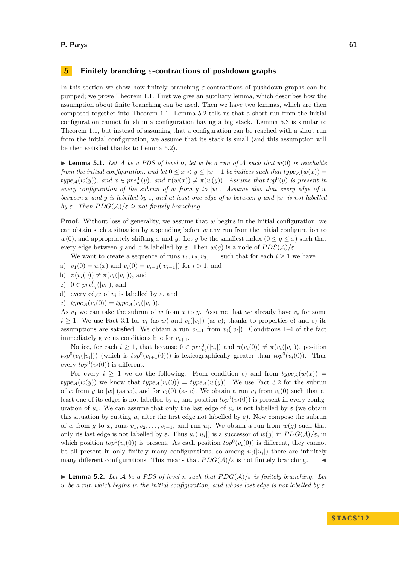# **5 Finitely branching** *ε***-contractions of pushdown graphs**

In this section we show how finitely branching *ε*-contractions of pushdown graphs can be pumped; we prove Theorem [1.1.](#page-0-0) First we give an auxiliary lemma, which describes how the assumption about finite branching can be used. Then we have two lemmas, which are then composed together into Theorem [1.1.](#page-0-0) Lemma [5.2](#page-7-0) tells us that a short run from the initial configuration cannot finish in a configuration having a big stack. Lemma [5.3](#page-9-0) is similar to Theorem [1.1,](#page-0-0) but instead of assuming that a configuration can be reached with a short run from the initial configuration, we assume that its stack is small (and this assumption will be then satisfied thanks to Lemma [5.2\)](#page-7-0).

<span id="page-7-1"></span> $\blacktriangleright$  **Lemma 5.1.** Let A be a PDS of level n, let w be a run of A such that  $w(0)$  is reachable *from the initial configuration, and let*  $0 \le x < y \le |w| - 1$  *be indices such that type* $_A(w(x)) =$  $type_{\mathcal{A}}(w(y))$ , and  $x \in pre_w^0(y)$ , and  $\pi(w(x)) \neq \pi(w(y))$ . Assume that  $top^0(y)$  is present in *every configuration of the subrun of w from y to* |*w*|*. Assume also that every edge of w between x and y is labelled by ε, and at least one edge of w between y and* |*w*| *is not labelled by*  $\varepsilon$ *. Then*  $PDG(\mathcal{A})/\varepsilon$  *is not finitely branching.* 

**Proof.** Without loss of generality, we assume that *w* begins in the initial configuration; we can obtain such a situation by appending before *w* any run from the initial configuration to  $w(0)$ , and appropriately shifting *x* and *y*. Let *g* be the smallest index  $(0 \leq g \leq x)$  such that every edge between *g* and *x* is labelled by  $\varepsilon$ . Then  $w(g)$  is a node of  $PDS(\mathcal{A})/\varepsilon$ .

We want to create a sequence of runs  $v_1, v_2, v_3, \ldots$  such that for each  $i \geq 1$  we have

- a)  $v_1(0) = w(x)$  and  $v_i(0) = v_{i-1}(|v_{i-1}|)$  for  $i > 1$ , and
- b)  $\pi(v_i(0)) \neq \pi(v_i(|v_i|)),$  and
- c)  $0 \in pre_{v_i}^0(|v_i|)$ , and
- d) every edge of  $v_i$  is labelled by  $\varepsilon$ , and
- $\text{e)} \quad type_{\mathcal{A}}(v_i(0)) = type_{\mathcal{A}}(v_i(|v_i|)).$

As  $v_1$  we can take the subrun of  $w$  from  $x$  to  $y$ . Assume that we already have  $v_i$  for some  $i \geq 1$ . We use Fact [3.1](#page-3-0) for  $v_i$  (as *w*) and  $v_i(|v_i|)$  (as *c*); thanks to properties *c*) and *e*) its assumptions are satisfied. We obtain a run  $v_{i+1}$  from  $v_i(|v_i|)$ . Conditions 1–4 of the fact immediately give us conditions b–e for  $v_{i+1}$ .

Notice, for each  $i \geq 1$ , that because  $0 \in pre_{v_i}^0(|v_i|)$  and  $\pi(v_i(0)) \neq \pi(v_i(|v_i|))$ , position  $top^0(v_i(|v_i|))$  (which is  $top^0(v_{i+1}(0))$ ) is lexicographically greater than  $top^0(v_i(0))$ . Thus every  $top^0(v_i(0))$  is different.

For every  $i \geq 1$  we do the following. From condition e) and from  $type_A(w(x))$  =  $type_A(w(y))$  we know that  $type_A(v_i(0)) = type_A(w(y))$ . We use Fact [3.2](#page-4-0) for the subrun of *w* from *y* to  $|w|$  (as *w*), and for  $v_i(0)$  (as *c*). We obtain a run  $u_i$  from  $v_i(0)$  such that at least one of its edges is not labelled by  $\varepsilon$ , and position  $top^0(v_i(0))$  is present in every configuration of  $u_i$ . We can assume that only the last edge of  $u_i$  is not labelled by  $\varepsilon$  (we obtain this situation by cutting  $u_i$  after the first edge not labelled by  $\varepsilon$ ). Now compose the subrun of *w* from *g* to *x*, runs  $v_1, v_2, \ldots, v_{i-1}$ , and run  $u_i$ . We obtain a run from  $w(g)$  such that only its last edge is not labelled by  $\varepsilon$ . Thus  $u_i(|u_i|)$  is a successor of  $w(g)$  in  $PDG(\mathcal{A})/\varepsilon$ , in which position  $top^0(v_i(0))$  is present. As each position  $top^0(v_i(0))$  is different, they cannot be all present in only finitely many configurations, so among  $u_i(|u_i|)$  there are infinitely many different configurations. This means that  $PDG(\mathcal{A})/\varepsilon$  is not finitely branching.

<span id="page-7-0"></span> $\blacktriangleright$  **Lemma 5.2.** Let A be a PDS of level *n* such that  $PDG(\mathcal{A})/\varepsilon$  is finitely branching. Let *w* be a run which begins in the initial configuration, and whose last edge is not labelled by  $\varepsilon$ .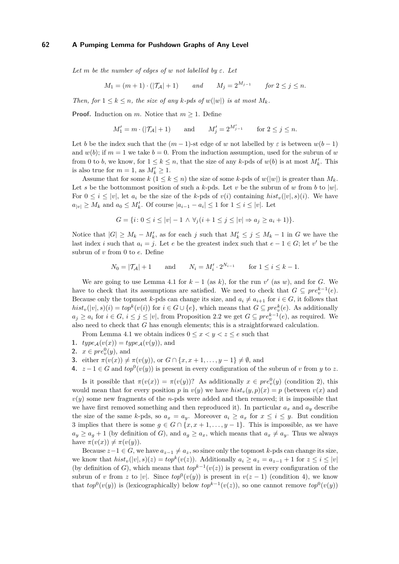Let *m* be the number of edges of *w not labelled by*  $\varepsilon$ *. Let* 

$$
M_1 = (m+1) \cdot (|\mathcal{T}_\mathcal{A}| + 1) \qquad and \qquad M_j = 2^{M_{j-1}} \qquad \text{for } 2 \le j \le n.
$$

*Then, for*  $1 \leq k \leq n$ *, the size of any k-pds of*  $w(|w|)$  *is at most*  $M_k$ *.* 

**Proof.** Induction on *m*. Notice that  $m > 1$ . Define

$$
M'_1 = m \cdot (|\mathcal{T}_A| + 1)
$$
 and  $M'_j = 2^{M'_{j-1}}$  for  $2 \le j \le n$ .

Let *b* be the index such that the  $(m-1)$ -st edge of *w* not labelled by  $\varepsilon$  is between  $w(b-1)$ and  $w(b)$ ; if  $m = 1$  we take  $b = 0$ . From the induction assumption, used for the subrun of *w* from 0 to *b*, we know, for  $1 \leq k \leq n$ , that the size of any *k*-pds of  $w(b)$  is at most  $M'_k$ . This is also true for  $m = 1$ , as  $M'_k \ge 1$ .

Assume that for some  $k$  ( $1 \leq k \leq n$ ) the size of some *k*-pds of  $w(|w|)$  is greater than  $M_k$ . Let *s* be the bottommost position of such a *k*-pds. Let *v* be the subrun of *w* from *b* to  $|w|$ . For  $0 \leq i \leq |v|$ , let  $a_i$  be the size of the *k*-pds of  $v(i)$  containing  $hist_v(|v|, s)(i)$ . We have  $a_{|v|} \ge M_k$  and  $a_0 \le M'_k$ . Of course  $|a_{i-1} - a_i| \le 1$  for  $1 \le i \le |v|$ . Let

$$
G = \{i \colon 0 \le i \le |v| - 1 \land \forall_j (i + 1 \le j \le |v| \Rightarrow a_j \ge a_i + 1)\}.
$$

Notice that  $|G| \geq M_k - M'_k$ , as for each *j* such that  $M'_k \leq j \leq M_k - 1$  in *G* we have the last index *i* such that  $a_i = j$ . Let *e* be the greatest index such that  $e - 1 \in G$ ; let *v*' be the subrun of *v* from 0 to *e*. Define

$$
N_0 = |\mathcal{T}_A| + 1
$$
 and  $N_i = M'_i \cdot 2^{N_{i-1}}$  for  $1 \le i \le k - 1$ .

We are going to use Lemma [4.1](#page-6-0) for  $k-1$  (as  $k$ ), for the run  $v'$  (as  $w$ ), and for *G*. We have to check that its assumptions are satisfied. We need to check that  $G \subseteq pre_v^{k-1}(e)$ . Because only the topmost *k*-pds can change its size, and  $a_i \neq a_{i+1}$  for  $i \in G$ , it follows that  $hist_v(|v|, s)(i) = top^k(v(i))$  for  $i \in G \cup \{e\}$ , which means that  $G \subseteq pre^k_v(e)$ . As additionally *a*<sub>*j*</sub> ≥ *a*<sub>*i*</sub> for *i* ∈ *G*, *i* ≤ *j* ≤ |*v*|, from Proposition [2.2](#page-3-1) we get *G* ⊆  $pre_v^{k-1}(e)$ , as required. We also need to check that *G* has enough elements; this is a straightforward calculation.

From Lemma [4.1](#page-6-0) we obtain indices  $0 \le x \le y \le z \le e$  such that

- **1.**  $type_{\mathcal{A}}(v(x)) = type_{\mathcal{A}}(v(y))$ , and
- **2.**  $x \in pre_v^0(y)$ , and
- **3.** either  $\pi(v(x)) \neq \pi(v(y))$ , or  $G \cap \{x, x+1, ..., y-1\} \neq \emptyset$ , and

**4.** 
$$
z-1 \in G
$$
 and  $top^0(v(y))$  is present in every configuration of the subrun of v from y to z.

Is it possible that  $\pi(v(x)) = \pi(v(y))$ ? As additionally  $x \in pre_v^0(y)$  (condition 2), this would mean that for every position *p* in  $v(y)$  we have  $hist_v(y, p)(x) = p$  (between  $v(x)$  and  $v(y)$  some new fragments of the *n*-pds were added and then removed; it is impossible that we have first removed something and then reproduced it). In particular  $a_x$  and  $a_y$  describe the size of the same *k*-pds, so  $a_x = a_y$ . Moreover  $a_i \ge a_x$  for  $x \le i \le y$ . But condition 3 implies that there is some  $g \in G \cap \{x, x+1, \ldots, y-1\}$ . This is impossible, as we have  $a_y \ge a_g + 1$  (by definition of *G*), and  $a_g \ge a_x$ , which means that  $a_x \ne a_y$ . Thus we always have  $\pi(v(x)) \neq \pi(v(y))$ .

Because  $z-1 \in G$ , we have  $a_{z-1} \neq a_z$ , so since only the topmost *k*-pds can change its size, we know that  $hist_v(|v|, s)(z) = top^k(v(z))$ . Additionally  $a_i \ge a_z = a_{z-1} + 1$  for  $z \le i \le |v|$ (by definition of *G*), which means that  $top^{k-1}(v(z))$  is present in every configuration of the subrun of *v* from *z* to |*v*|. Since  $top^0(v(y))$  is present in  $v(z-1)$  (condition 4), we know that  $top^0(v(y))$  is (lexicographically) below  $top^{k-1}(v(z))$ , so one cannot remove  $top^0(v(y))$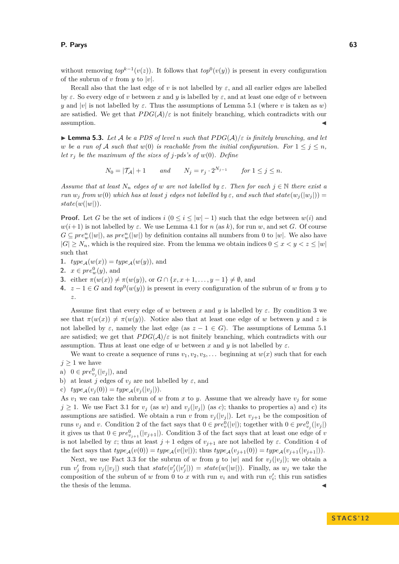#### **P. Parys 63**

without removing  $top^{k-1}(v(z))$ . It follows that  $top^0(v(y))$  is present in every configuration of the subrun of *v* from *y* to |*v*|.

Recall also that the last edge of *v* is not labelled by  $\varepsilon$ , and all earlier edges are labelled by  $\varepsilon$ . So every edge of *v* between *x* and *y* is labelled by  $\varepsilon$ , and at least one edge of *v* between *y* and |*v*| is not labelled by  $\varepsilon$ . Thus the assumptions of Lemma [5.1](#page-7-1) (where *v* is taken as *w*) are satisfied. We get that  $PDG(\mathcal{A})/\varepsilon$  is not finitely branching, which contradicts with our assumption.

<span id="page-9-0"></span>**I Lemma 5.3.** Let A be a PDS of level *n* such that  $PDG(A)/\varepsilon$  is finitely branching, and let *w be a run of* A *such that*  $w(0)$  *is reachable from the initial configuration. For*  $1 \leq j \leq n$ , *let*  $r_i$  *be the maximum of the sizes of j-pds's of*  $w(0)$ *. Define* 

 $N_0 = |\mathcal{T_A}| + 1$  *and*  $N_j = r_j \cdot 2^{N_{j-1}}$  *for*  $1 \le j \le n$ *.* 

*Assume that at least*  $N_n$  *edges of w are not labelled by*  $\varepsilon$ *. Then for each*  $j \in \mathbb{N}$  *there exist a run*  $w_j$  *from*  $w(0)$  *which has at least j edges not labelled by*  $\varepsilon$ *, and such that state*( $w_j(|w_j|)$ ) =  $state(w(|w|)).$ 

**Proof.** Let *G* be the set of indices *i*  $(0 \le i \le |w| - 1)$  such that the edge between  $w(i)$  and *w*(*i*+1) is not labelled by *ε*. We use Lemma [4.1](#page-6-0) for *n* (as *k*), for run *w*, and set *G*. Of course  $G \subseteq pre_w^n(|w|)$ , as  $pre_w^n(|w|)$  by definition contains all numbers from 0 to  $|w|$ . We also have  $|G| \geq N_n$ , which is the required size. From the lemma we obtain indices  $0 \leq x \leq y \leq z \leq |w|$ such that

- **1.**  $type_{\mathcal{A}}(w(x)) = type_{\mathcal{A}}(w(y))$ , and
- **2.**  $x \in pre_w^0(y)$ , and
- **3.** either  $\pi(w(x)) \neq \pi(w(y))$ , or  $G \cap \{x, x + 1, ..., y 1\} \neq \emptyset$ , and
- **4.**  $z 1 \in G$  and  $top^0(w(y))$  is present in every configuration of the subrun of *w* from *y* to *z*.

Assume first that every edge of  $w$  between  $x$  and  $y$  is labelled by  $\varepsilon$ . By condition 3 we see that  $\pi(w(x)) \neq \pi(w(y))$ . Notice also that at least one edge of *w* between *y* and *z* is not labelled by  $\varepsilon$ , namely the last edge (as  $z - 1 \in G$ ). The assumptions of Lemma [5.1](#page-7-1) are satisfied; we get that  $PDG(\mathcal{A})/\varepsilon$  is not finitely branching, which contradicts with our assumption. Thus at least one edge of *w* between *x* and *y* is not labelled by  $\varepsilon$ .

We want to create a sequence of runs  $v_1, v_2, v_3, \ldots$  beginning at  $w(x)$  such that for each  $j \geq 1$  we have

- a)  $0 \in pre_{v_j}^0(|v_j|)$ , and
- b) at least *j* edges of  $v_j$  are not labelled by  $\varepsilon$ , and
- c)  $type_{\mathcal{A}}(v_i(0)) = type_{\mathcal{A}}(v_i(|v_i|)).$

As  $v_1$  we can take the subrun of *w* from *x* to *y*. Assume that we already have  $v_j$  for some  $j \geq 1$ . We use Fact [3.1](#page-3-0) for  $v_j$  (as *w*) and  $v_j(|v_j|)$  (as *c*); thanks to properties a) and *c*) its assumptions are satisfied. We obtain a run *v* from  $v_j(|v_j|)$ . Let  $v_{j+1}$  be the composition of runs  $v_j$  and  $v$ . Condition 2 of the fact says that  $0 \in pre_v^0(|v|)$ ; together with  $0 \in pre_{v_j}^0(|v_j|)$ it gives us that  $0 \in pre_{v_{j+1}}^0(|v_{j+1}|)$ . Condition 3 of the fact says that at least one edge of *v* is not labelled by  $\varepsilon$ ; thus at least  $j + 1$  edges of  $v_{j+1}$  are not labelled by  $\varepsilon$ . Condition 4 of the fact says that  $type_A(v(0)) = type_A(v(|v|));$  thus  $type_A(v_{i+1}(0)) = type_A(v_{i+1}(|v_{i+1}|)).$ 

Next, we use Fact [3.3](#page-4-1) for the subrun of *w* from *y* to |*w*| and for  $v_j(|v_j|)$ ; we obtain a run  $v'_j$  from  $v_j(|v_j|)$  such that  $state(v'_j(|v'_j|)) = state(w(|w|))$ . Finally, as  $w_j$  we take the composition of the subrun of *w* from 0 to *x* with run  $v_i$  and with run  $v'_i$ ; this run satisfies the thesis of the lemma.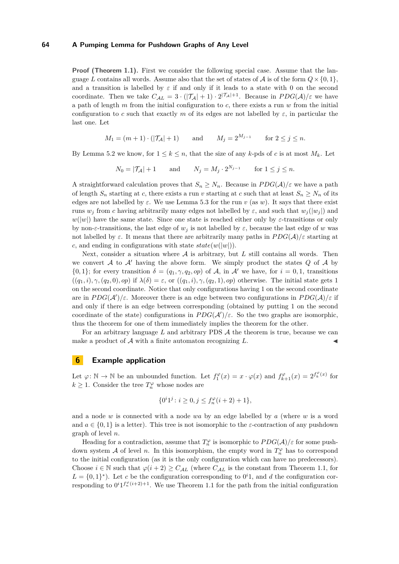**Proof (Theorem [1.1\)](#page-0-0).** First we consider the following special case. Assume that the language *L* contains all words. Assume also that the set of states of A is of the form  $Q \times \{0, 1\}$ . and a transition is labelled by  $\varepsilon$  if and only if it leads to a state with 0 on the second coordinate. Then we take  $C_{\mathcal{A}L} = 3 \cdot (|\mathcal{T}_{\mathcal{A}}| + 1) \cdot 2^{|\mathcal{T}_{\mathcal{A}}|+1}$ . Because in  $PDG(\mathcal{A})/\varepsilon$  we have a path of length *m* from the initial configuration to *c*, there exists a run *w* from the initial configuration to *c* such that exactly *m* of its edges are not labelled by  $\varepsilon$ , in particular the last one. Let

$$
M_1 = (m+1) \cdot (|\mathcal{T}_A| + 1)
$$
 and  $M_j = 2^{M_{j-1}}$  for  $2 \le j \le n$ .

By Lemma [5.2](#page-7-0) we know, for  $1 \leq k \leq n$ , that the size of any *k*-pds of *c* is at most  $M_k$ . Let

 $N_0 = |\mathcal{T}_\mathcal{A}| + 1$  and  $N_j = M_j \cdot 2^{N_{j-1}}$  for  $1 \le j \le n$ .

A straightforward calculation proves that  $S_n \geq N_n$ . Because in  $PDG(\mathcal{A})/\varepsilon$  we have a path of length  $S_n$  starting at *c*, there exists a run *v* starting at *c* such that at least  $S_n \geq N_n$  of its edges are not labelled by  $\varepsilon$ . We use Lemma [5.3](#page-9-0) for the run *v* (as *w*). It says that there exist runs  $w_i$  from *c* having arbitrarily many edges not labelled by  $\varepsilon$ , and such that  $w_i(|w_i|)$  and  $w(|w|)$  have the same state. Since one state is reached either only by  $\varepsilon$ -transitions or only by non-*ε*-transitions, the last edge of  $w_j$  is not labelled by  $\varepsilon$ , because the last edge of *w* was not labelled by  $\varepsilon$ . It means that there are arbitrarily many paths in  $PDG(\mathcal{A})/\varepsilon$  starting at *c*, and ending in configurations with state  $state(w(|w|))$ .

Next, consider a situation where A is arbitrary, but L still contains all words. Then we convert  $A$  to  $A'$  having the above form. We simply product the states  $Q$  of  $A$  by  $\{0,1\}$ ; for every transition  $\delta = (q_1, \gamma, q_2, op)$  of A, in A' we have, for  $i = 0,1$ , transitions  $((q_1, i), \gamma, (q_2, 0), \text{op})$  if  $\lambda(\delta) = \varepsilon$ , or  $((q_1, i), \gamma, (q_2, 1), \text{op})$  otherwise. The initial state gets 1 on the second coordinate. Notice that only configurations having 1 on the second coordinate are in  $PDG(\mathcal{A}')/\varepsilon$ . Moreover there is an edge between two configurations in  $PDG(\mathcal{A})/\varepsilon$  if and only if there is an edge between corresponding (obtained by putting 1 on the second coordinate of the state) configurations in  $PDG(\mathcal{A}')/\varepsilon$ . So the two graphs are isomorphic, thus the theorem for one of them immediately implies the theorem for the other.

For an arbitrary language *L* and arbitrary PDS A the theorem is true, because we can make a product of  $A$  with a finite automaton recognizing  $L$ .

## <span id="page-10-0"></span>**6 Example application**

Let  $\varphi \colon \mathbb{N} \to \mathbb{N}$  be an unbounded function. Let  $f_1^{\varphi}(x) = x \cdot \varphi(x)$  and  $f_{k+1}^{\varphi}(x) = 2^{f_k^{\varphi}(x)}$  for  $k \geq 1$ . Consider the tree  $T_n^{\varphi}$  whose nodes are

$$
\{0^i1^j\colon i\geq 0, j\leq f^\varphi_n(i+2)+1\},
$$

and a node *w* is connected with a node *wa* by an edge labelled by *a* (where *w* is a word and  $a \in \{0, 1\}$  is a letter). This tree is not isomorphic to the *ε*-contraction of any pushdown graph of level *n*.

Heading for a contradiction, assume that  $T_n^{\varphi}$  is isomorphic to  $PDG(\mathcal{A})/\varepsilon$  for some pushdown system A of level *n*. In this isomorphism, the empty word in  $T_n^{\varphi}$  has to correspond to the initial configuration (as it is the only configuration which can have no predecessors). Choose  $i \in \mathbb{N}$  such that  $\varphi(i+2) \geq C_{\mathcal{A}L}$  (where  $C_{\mathcal{A}L}$  is the constant from Theorem [1.1,](#page-0-0) for  $L = \{0, 1\}^*$ ). Let *c* be the configuration corresponding to  $0^i$ 1, and *d* the configuration corresponding to  $0^i1^{f_n^{\varphi}(i+2)+1}$ . We use Theorem [1.1](#page-0-0) for the path from the initial configuration